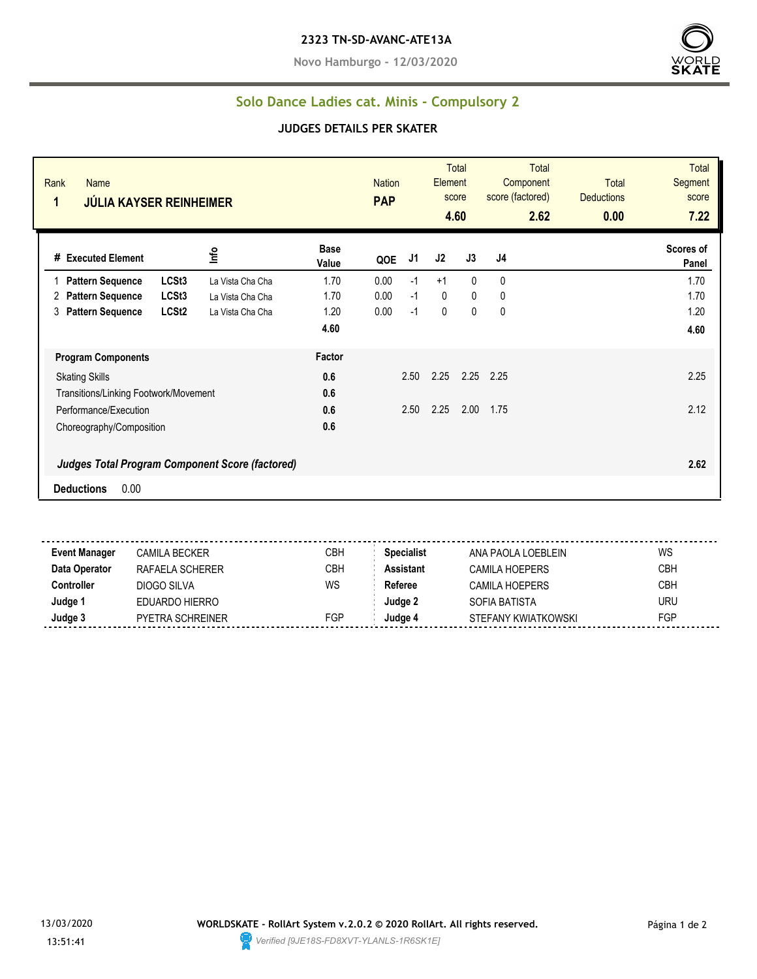**Novo Hamburgo - 12/03/2020**



## **Solo Dance Ladies cat. Minis - Compulsory 2**

## **JUDGES DETAILS PER SKATER**

| Rank<br><b>Name</b><br>1<br><b>JÚLIA KAYSER REINHEIMER</b> |                   |                  | <b>Nation</b><br><b>PAP</b> | Element |      | Total<br>score<br>4.60 | <b>Total</b><br>Component<br>score (factored)<br>2.62 | <b>Total</b><br><b>Deductions</b><br>0.00 | <b>Total</b><br>Segment<br>score<br>7.22 |                    |
|------------------------------------------------------------|-------------------|------------------|-----------------------------|---------|------|------------------------|-------------------------------------------------------|-------------------------------------------|------------------------------------------|--------------------|
| # Executed Element                                         |                   | Info             | <b>Base</b><br>Value        | QOE     | J1   | J2                     | J3                                                    | J4                                        |                                          | Scores of<br>Panel |
| <b>Pattern Sequence</b>                                    | LCSt <sub>3</sub> | La Vista Cha Cha | 1.70                        | 0.00    | $-1$ | $+1$                   | $\Omega$                                              | 0                                         |                                          | 1.70               |
| <b>Pattern Sequence</b><br>2                               | LCSt <sub>3</sub> | La Vista Cha Cha | 1.70                        | 0.00    | $-1$ | $\mathbf{0}$           | 0                                                     | 0                                         |                                          | 1.70               |
| <b>Pattern Sequence</b><br>3                               | LCSt <sub>2</sub> | La Vista Cha Cha | 1.20                        | 0.00    | $-1$ | 0                      | 0                                                     | 0                                         |                                          | 1.20               |
|                                                            |                   |                  | 4.60                        |         |      |                        |                                                       |                                           |                                          | 4.60               |
| <b>Program Components</b>                                  |                   |                  | Factor                      |         |      |                        |                                                       |                                           |                                          |                    |
| <b>Skating Skills</b>                                      |                   | 0.6              |                             | 2.50    | 2.25 | 2.25                   | 2.25                                                  |                                           | 2.25                                     |                    |
| Transitions/Linking Footwork/Movement                      |                   | 0.6              |                             |         |      |                        |                                                       |                                           |                                          |                    |
| Performance/Execution                                      |                   |                  | 0.6                         |         | 2.50 | 2.25                   | 2.00                                                  | 1.75                                      |                                          | 2.12               |
| Choreography/Composition                                   |                   | 0.6              |                             |         |      |                        |                                                       |                                           |                                          |                    |
| <b>Judges Total Program Component Score (factored)</b>     |                   |                  |                             |         |      |                        |                                                       |                                           |                                          | 2.62               |
| 0.00<br><b>Deductions</b>                                  |                   |                  |                             |         |      |                        |                                                       |                                           |                                          |                    |

**Event Manager** CAMILA BECKER CBH **Specialist** ANA PAOLA LOEBLEIN WS **Data Operator** RAFAELA SCHERER CBH **Assistant** CAMILA HOEPERS CBH **Controller** DIOGO SILVA WS Referee CAMILA HOEPERS CBH **Judge 1** EDUARDO HIERRO **Judge 2** SOFIA BATISTA URU **Judge 3** PYETRA SCHREINER FGP **Judge 4** STEFANY KWIATKOWSKI FGP